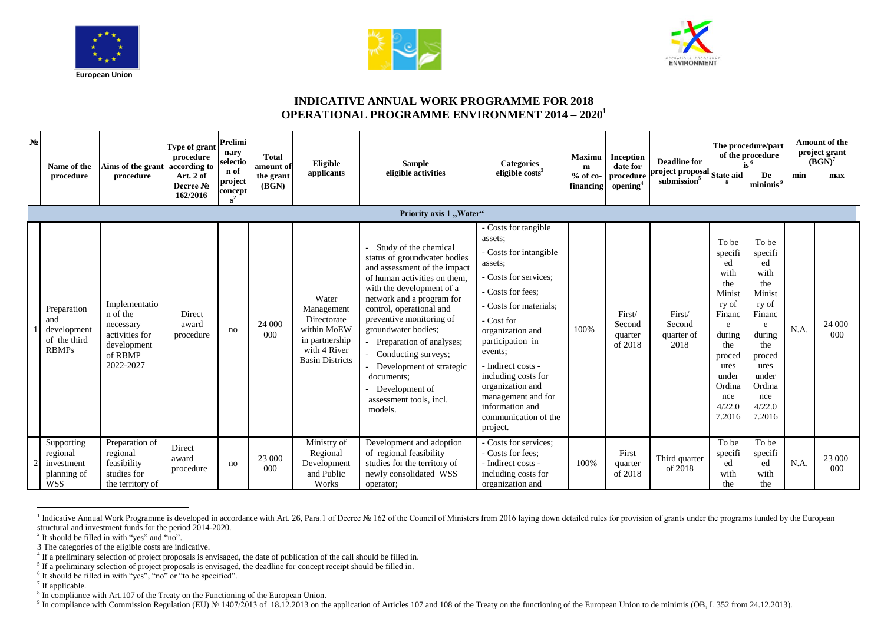





## **INDICATIVE ANNUAL WORK PROGRAMME FOR 2018 OPERATIONAL PROGRAMME ENVIRONMENT 2014 – 2020<sup>1</sup>**

| № | Name of the                                                       | Aims of the grant<br>procedure                                                                  | Type of grant<br>procedure<br>according to | Prelimi<br>nary<br>selectio         | <b>Total</b><br>amount of | Eligible<br>applicants                                                                                        | <b>Sample</b><br>eligible activities                                                                                                                                                                                                                                                                                                                                                                                | <b>Categories</b><br>eligible $costs3$                                                                                                                                                                                                                                                                                                                      | <b>Maximu</b><br>m<br>$%$ of co-<br>financing | Inception<br>date for<br>procedure<br>opening <sup>4</sup> | <b>Deadline for</b><br>project proposal<br>submission <sup>5</sup> | The procedure/part<br>of the procedure<br>$is^6$                                                                                                         |                                                                                                                                                                   | <b>Amount of the</b><br>project grant<br>$(BGN)^7$ |               |
|---|-------------------------------------------------------------------|-------------------------------------------------------------------------------------------------|--------------------------------------------|-------------------------------------|---------------------------|---------------------------------------------------------------------------------------------------------------|---------------------------------------------------------------------------------------------------------------------------------------------------------------------------------------------------------------------------------------------------------------------------------------------------------------------------------------------------------------------------------------------------------------------|-------------------------------------------------------------------------------------------------------------------------------------------------------------------------------------------------------------------------------------------------------------------------------------------------------------------------------------------------------------|-----------------------------------------------|------------------------------------------------------------|--------------------------------------------------------------------|----------------------------------------------------------------------------------------------------------------------------------------------------------|-------------------------------------------------------------------------------------------------------------------------------------------------------------------|----------------------------------------------------|---------------|
|   | procedure                                                         |                                                                                                 | Art. 2 of<br>Decree No<br>162/2016         | n of<br>project<br>concept<br>$s^2$ | the grant<br>(BGN)        |                                                                                                               |                                                                                                                                                                                                                                                                                                                                                                                                                     |                                                                                                                                                                                                                                                                                                                                                             |                                               |                                                            |                                                                    | <b>State aid</b>                                                                                                                                         | De<br>minimis <sup>9</sup>                                                                                                                                        | min                                                | max           |
|   |                                                                   |                                                                                                 |                                            |                                     |                           |                                                                                                               | Priority axis 1 "Water"                                                                                                                                                                                                                                                                                                                                                                                             |                                                                                                                                                                                                                                                                                                                                                             |                                               |                                                            |                                                                    |                                                                                                                                                          |                                                                                                                                                                   |                                                    |               |
|   | Preparation<br>and<br>development<br>of the third<br><b>RBMPs</b> | Implementatio<br>n of the<br>necessary<br>activities for<br>development<br>of RBMP<br>2022-2027 | Direct<br>award<br>procedure               | no                                  | 24 000<br>000             | Water<br>Management<br>Directorate<br>within MoEW<br>in partnership<br>with 4 River<br><b>Basin Districts</b> | Study of the chemical<br>status of groundwater bodies<br>and assessment of the impact<br>of human activities on them,<br>with the development of a<br>network and a program for<br>control, operational and<br>preventive monitoring of<br>groundwater bodies;<br>Preparation of analyses;<br>Conducting surveys;<br>Development of strategic<br>documents:<br>Development of<br>assessment tools, incl.<br>models. | - Costs for tangible<br>assets:<br>- Costs for intangible<br>assets:<br>- Costs for services:<br>- Costs for fees:<br>- Costs for materials;<br>- Cost for<br>organization and<br>participation in<br>events:<br>- Indirect costs -<br>including costs for<br>organization and<br>management and for<br>information and<br>communication of the<br>project. | 100%                                          | First/<br>Second<br>quarter<br>of 2018                     | First/<br>Second<br>quarter of<br>2018                             | To be<br>specifi<br>ed<br>with<br>the<br>Minist<br>ry of<br>Financ<br>e<br>during<br>the<br>proced<br>ures<br>under<br>Ordina<br>nce<br>4/22.0<br>7.2016 | To be<br>specifi<br>ed<br>with<br>the<br>Minist<br>ry of<br>Financ<br>$\epsilon$<br>during<br>the<br>proced<br>ures<br>under<br>Ordina<br>nce<br>4/22.0<br>7.2016 | N.A.                                               | 24 000<br>000 |
|   | Supporting<br>regional<br>investment<br>planning of<br><b>WSS</b> | Preparation of<br>regional<br>feasibility<br>studies for<br>the territory of                    | Direct<br>award<br>procedure               | no                                  | 23 000<br>000             | Ministry of<br>Regional<br>Development<br>and Public<br>Works                                                 | Development and adoption<br>of regional feasibility<br>studies for the territory of<br>newly consolidated WSS<br>operator;                                                                                                                                                                                                                                                                                          | - Costs for services:<br>- Costs for fees:<br>- Indirect costs -<br>including costs for<br>organization and                                                                                                                                                                                                                                                 | 100%                                          | First<br>quarter<br>of 2018                                | Third quarter<br>of 2018                                           | To be<br>specifi<br>ed<br>with<br>the                                                                                                                    | To be<br>specifi<br>ed<br>with<br>the                                                                                                                             | N.A.                                               | 23 000<br>000 |

and Mork Programme is developed in accordance with Art. 26, Para.1 of Decree № 162 of the Council of Ministers from 2016 laying down detailed rules for provision of grants under the programs funded by the European structural and investment funds for the period 2014-2020.

<sup>2</sup> It should be filled in with "yes" and "no".

3 The categories of the eligible costs are indicative.

<sup>6</sup> It should be filled in with "yes", "no" or "to be specified".

<sup>7</sup> If applicable.

<sup>9</sup> In compliance with Commission Regulation (EU) № 1407/2013 of 18.12.2013 on the application of Articles 107 and 108 of the Treaty on the functioning of the European Union to de minimis (OB, L 352 from 24.12.2013).

<sup>4</sup> If a preliminary selection of project proposals is envisaged, the date of publication of the call should be filled in.

<sup>&</sup>lt;sup>5</sup> If a preliminary selection of project proposals is envisaged, the deadline for concept receipt should be filled in.

<sup>&</sup>lt;sup>8</sup> In compliance with Art.107 of the Treaty on the Functioning of the European Union.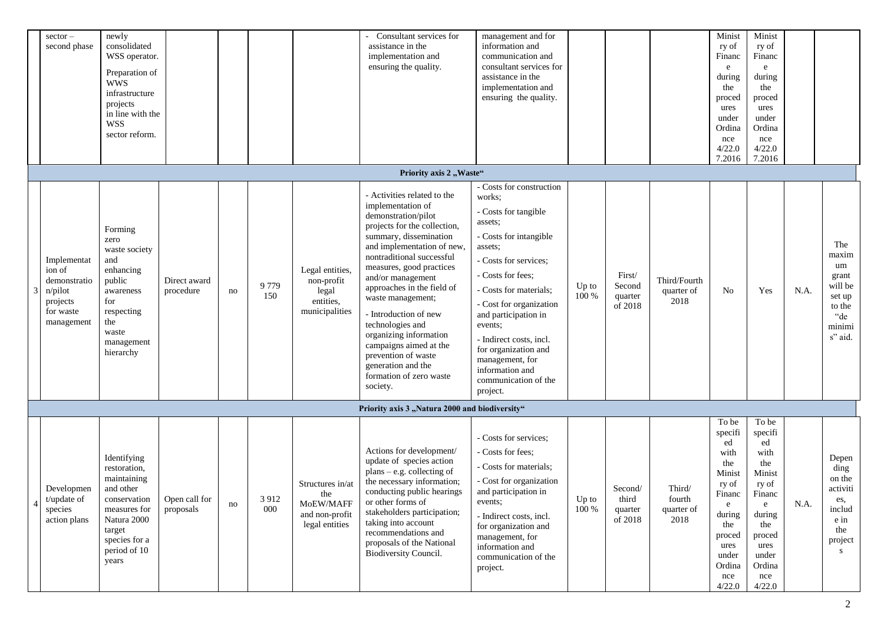| $sector -$<br>second phase                                                              | newly<br>consolidated<br>WSS operator.<br>Preparation of<br><b>WWS</b><br>infrastructure<br>projects<br>in line with the<br><b>WSS</b><br>sector reform.   |                            |    |                |                                                                          | Consultant services for<br>assistance in the<br>implementation and<br>ensuring the quality.                                                                                                                                                                                                                                                                                                                                                                                           | management and for<br>information and<br>communication and<br>consultant services for<br>assistance in the<br>implementation and<br>ensuring the quality.                                                                                                                                                                                                                     |                |                                        |                                        | Minist<br>ry of<br>Financ<br>e<br>during<br>the<br>proced<br>ures<br>under<br>Ordina<br>nce<br>4/22.0<br>7.2016                                | Minist<br>ry of<br>Financ<br>e<br>during<br>the<br>proced<br>ures<br>under<br>Ordina<br>nce<br>4/22.0<br>7.2016                                |      |                                                                                        |
|-----------------------------------------------------------------------------------------|------------------------------------------------------------------------------------------------------------------------------------------------------------|----------------------------|----|----------------|--------------------------------------------------------------------------|---------------------------------------------------------------------------------------------------------------------------------------------------------------------------------------------------------------------------------------------------------------------------------------------------------------------------------------------------------------------------------------------------------------------------------------------------------------------------------------|-------------------------------------------------------------------------------------------------------------------------------------------------------------------------------------------------------------------------------------------------------------------------------------------------------------------------------------------------------------------------------|----------------|----------------------------------------|----------------------------------------|------------------------------------------------------------------------------------------------------------------------------------------------|------------------------------------------------------------------------------------------------------------------------------------------------|------|----------------------------------------------------------------------------------------|
|                                                                                         |                                                                                                                                                            |                            |    |                |                                                                          | Priority axis 2 "Waste"                                                                                                                                                                                                                                                                                                                                                                                                                                                               |                                                                                                                                                                                                                                                                                                                                                                               |                |                                        |                                        |                                                                                                                                                |                                                                                                                                                |      |                                                                                        |
| Implementat<br>ion of<br>demonstratio<br>n/pilot<br>projects<br>for waste<br>management | Forming<br>zero<br>waste society<br>and<br>enhancing<br>public<br>awareness<br>for<br>respecting<br>the<br>waste<br>management<br>hierarchy                | Direct award<br>procedure  | no | 9 7 7 9<br>150 | Legal entities,<br>non-profit<br>legal<br>entities,<br>municipalities    | - Activities related to the<br>implementation of<br>demonstration/pilot<br>projects for the collection,<br>summary, dissemination<br>and implementation of new,<br>nontraditional successful<br>measures, good practices<br>and/or management<br>approaches in the field of<br>waste management;<br>- Introduction of new<br>technologies and<br>organizing information<br>campaigns aimed at the<br>prevention of waste<br>generation and the<br>formation of zero waste<br>society. | - Costs for construction<br>works:<br>- Costs for tangible<br>assets;<br>- Costs for intangible<br>assets;<br>- Costs for services;<br>- Costs for fees;<br>- Costs for materials;<br>- Cost for organization<br>and participation in<br>events;<br>- Indirect costs, incl.<br>for organization and<br>management, for<br>information and<br>communication of the<br>project. | Up to<br>100 % | First/<br>Second<br>quarter<br>of 2018 | Third/Fourth<br>quarter of<br>2018     | No                                                                                                                                             | Yes                                                                                                                                            | N.A. | The<br>maxim<br>um<br>grant<br>will be<br>set up<br>to the<br>"de<br>minimi<br>s" aid. |
|                                                                                         |                                                                                                                                                            |                            |    |                |                                                                          | Priority axis 3 "Natura 2000 and biodiversity"                                                                                                                                                                                                                                                                                                                                                                                                                                        |                                                                                                                                                                                                                                                                                                                                                                               |                |                                        |                                        |                                                                                                                                                |                                                                                                                                                |      |                                                                                        |
| Developmen<br>t/update of<br>species<br>action plans                                    | Identifying<br>restoration,<br>maintaining<br>and other<br>conservation<br>measures for<br>Natura 2000<br>target<br>species for a<br>period of 10<br>years | Open call for<br>proposals | no | 3 9 1 2<br>000 | Structures in/at<br>the<br>MoEW/MAFF<br>and non-profit<br>legal entities | Actions for development/<br>update of species action<br>plans – e.g. collecting of<br>the necessary information;<br>conducting public hearings<br>or other forms of<br>stakeholders participation;<br>taking into account<br>recommendations and<br>proposals of the National<br>Biodiversity Council.                                                                                                                                                                                | - Costs for services:<br>- Costs for fees:<br>- Costs for materials;<br>- Cost for organization<br>and participation in<br>events;<br>- Indirect costs, incl.<br>for organization and<br>management, for<br>information and<br>communication of the<br>project.                                                                                                               | Up to<br>100 % | Second/<br>third<br>quarter<br>of 2018 | Third/<br>fourth<br>quarter of<br>2018 | To be<br>specifi<br>ed<br>with<br>the<br>Minist<br>ry of<br>Financ<br>e<br>during<br>the<br>proced<br>ures<br>under<br>Ordina<br>nce<br>4/22.0 | To be<br>specifi<br>ed<br>with<br>the<br>Minist<br>ry of<br>Financ<br>e<br>during<br>the<br>proced<br>ures<br>under<br>Ordina<br>nce<br>4/22.0 | N.A. | Depen<br>ding<br>on the<br>activiti<br>es,<br>includ<br>$e$ in<br>the<br>project<br>S  |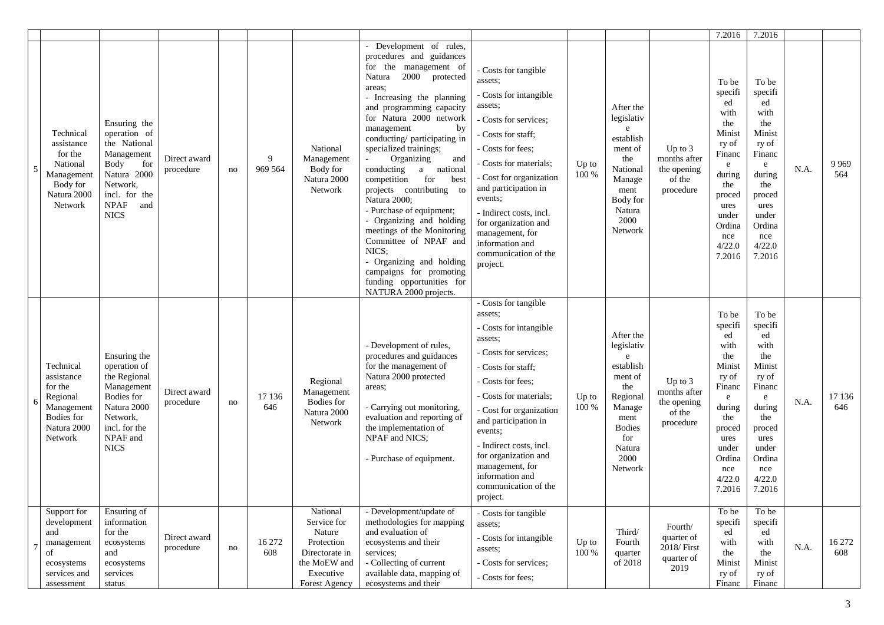|                |                                                                                                             |                                                                                                                                                            |                           |    |                |                                                                                                                 |                                                                                                                                                                                                                                                                                                                                                                                                                                                                                                                                                                                                                                                   |                                                                                                                                                                                                                                                                                                                                                               |                |                                                                                                                                                |                                                                 | 7.2016                                                                                                                                                   | 7.2016                                                                                                                                                              |      |                |
|----------------|-------------------------------------------------------------------------------------------------------------|------------------------------------------------------------------------------------------------------------------------------------------------------------|---------------------------|----|----------------|-----------------------------------------------------------------------------------------------------------------|---------------------------------------------------------------------------------------------------------------------------------------------------------------------------------------------------------------------------------------------------------------------------------------------------------------------------------------------------------------------------------------------------------------------------------------------------------------------------------------------------------------------------------------------------------------------------------------------------------------------------------------------------|---------------------------------------------------------------------------------------------------------------------------------------------------------------------------------------------------------------------------------------------------------------------------------------------------------------------------------------------------------------|----------------|------------------------------------------------------------------------------------------------------------------------------------------------|-----------------------------------------------------------------|----------------------------------------------------------------------------------------------------------------------------------------------------------|---------------------------------------------------------------------------------------------------------------------------------------------------------------------|------|----------------|
| $\overline{5}$ | Technical<br>assistance<br>for the<br>National<br>Management<br>Body for<br>Natura 2000<br>Network          | Ensuring the<br>operation of<br>the National<br>Management<br>Body<br>for<br>Natura 2000<br>Network,<br>incl. for the<br><b>NPAF</b><br>and<br><b>NICS</b> | Direct award<br>procedure | no | 9<br>969 564   | National<br>Management<br>Body for<br>Natura 2000<br>Network                                                    | Development of rules,<br>procedures and guidances<br>for the management of<br>2000 protected<br>Natura<br>areas;<br>- Increasing the planning<br>and programming capacity<br>for Natura 2000 network<br>management<br>by<br>conducting/participating in<br>specialized trainings;<br>Organizing<br>and<br>conducting<br>a national<br>best<br>competition<br>for<br>projects contributing to<br>Natura 2000;<br>- Purchase of equipment;<br>- Organizing and holding<br>meetings of the Monitoring<br>Committee of NPAF and<br>NICS:<br>- Organizing and holding<br>campaigns for promoting<br>funding opportunities for<br>NATURA 2000 projects. | - Costs for tangible<br>assets;<br>- Costs for intangible<br>assets;<br>- Costs for services;<br>Costs for staff:<br>Costs for fees:<br>- Costs for materials;<br>- Cost for organization<br>and participation in<br>events;<br>- Indirect costs, incl.<br>for organization and<br>management, for<br>information and<br>communication of the<br>project.     | Up to<br>100 % | After the<br>legislativ<br>$\mathbf{e}$<br>establish<br>ment of<br>the<br>National<br>Manage<br>ment<br>Body for<br>Natura<br>2000<br>Network  | Up to $3$<br>months after<br>the opening<br>of the<br>procedure | To be<br>specifi<br>ed<br>with<br>the<br>Minist<br>ry of<br>Financ<br>e<br>during<br>the<br>proced<br>ures<br>under<br>Ordina<br>nce<br>4/22.0<br>7.2016 | To be<br>specifi<br>ed<br>with<br>the<br>Minist<br>ry of<br>Financ<br>e<br>during<br>the<br>proced<br>ures<br>under<br>Ordina<br>nce<br>4/22.0<br>7.2016            | N.A. | 9 9 6 9<br>564 |
|                | Technical<br>assistance<br>for the<br>Regional<br>Management<br><b>Bodies</b> for<br>Natura 2000<br>Network | Ensuring the<br>operation of<br>the Regional<br>Management<br>Bodies for<br>Natura 2000<br>Network,<br>incl. for the<br>NPAF and<br><b>NICS</b>            | Direct award<br>procedure | no | 17 136<br>646  | Regional<br>Management<br>Bodies for<br>Natura 2000<br>Network                                                  | - Development of rules,<br>procedures and guidances<br>for the management of<br>Natura 2000 protected<br>areas;<br>- Carrying out monitoring,<br>evaluation and reporting of<br>the implementation of<br>NPAF and NICS;<br>- Purchase of equipment.                                                                                                                                                                                                                                                                                                                                                                                               | - Costs for tangible<br>assets:<br>- Costs for intangible<br>assets;<br>- Costs for services;<br>- Costs for staff:<br>- Costs for fees:<br>- Costs for materials;<br>- Cost for organization<br>and participation in<br>events;<br>- Indirect costs, incl.<br>for organization and<br>management, for<br>information and<br>communication of the<br>project. | Up to<br>100 % | After the<br>legislativ<br>e<br>establish<br>ment of<br>the<br>Regional<br>Manage<br>ment<br><b>Bodies</b><br>for<br>Natura<br>2000<br>Network | Up to $3$<br>months after<br>the opening<br>of the<br>procedure | To be<br>specifi<br>ed<br>with<br>the<br>Minist<br>ry of<br>Financ<br>e<br>during<br>the<br>proced<br>ures<br>under<br>Ordina<br>nce<br>4/22.0<br>7.2016 | To be<br>specifi<br>ed<br>with<br>the<br>Minist<br>ry of<br>Financ<br>$\mathbf{e}$<br>during<br>the<br>proced<br>ures<br>under<br>Ordina<br>nce<br>4/22.0<br>7.2016 | N.A. | 17 136<br>646  |
|                | Support for<br>development<br>and<br>management<br>of<br>ecosystems<br>services and<br>assessment           | Ensuring of<br>information<br>for the<br>ecosystems<br>and<br>ecosystems<br>services<br>status                                                             | Direct award<br>procedure | no | 16 27 2<br>608 | National<br>Service for<br>Nature<br>Protection<br>Directorate in<br>the MoEW and<br>Executive<br>Forest Agency | - Development/update of<br>methodologies for mapping<br>and evaluation of<br>ecosystems and their<br>services;<br>- Collecting of current<br>available data, mapping of<br>ecosystems and their                                                                                                                                                                                                                                                                                                                                                                                                                                                   | - Costs for tangible<br>assets;<br>- Costs for intangible<br>assets;<br>- Costs for services;<br>- Costs for fees:                                                                                                                                                                                                                                            | Up to<br>100 % | Third/<br>Fourth<br>quarter<br>of 2018                                                                                                         | Fourth/<br>quarter of<br>2018/ First<br>quarter of<br>2019      | To be<br>specifi<br>ed<br>with<br>the<br>Minist<br>ry of<br>Financ                                                                                       | To be<br>specifi<br>ed<br>with<br>the<br>Minist<br>ry of<br>Financ                                                                                                  | N.A. | 16 272<br>608  |